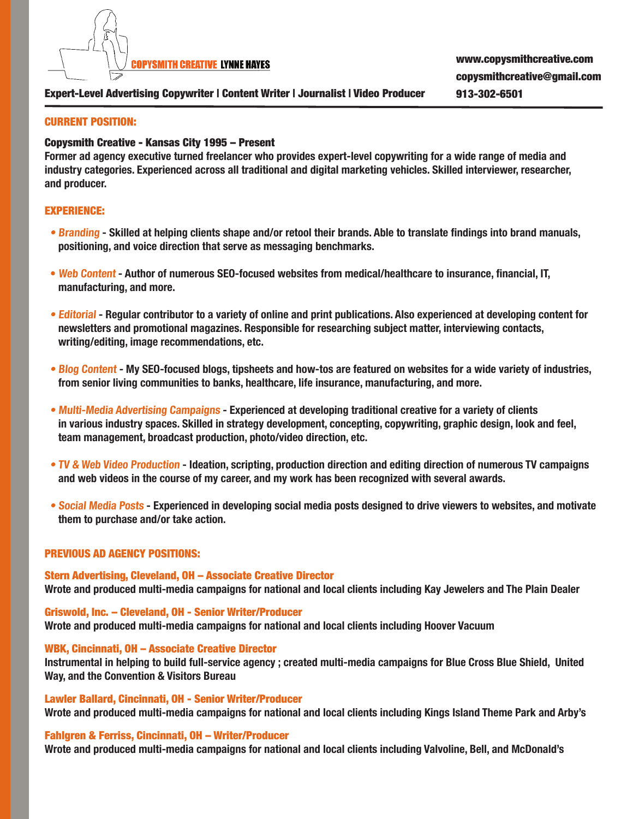

# Expert-Level Advertising Copywriter | Content Writer | Journalist | Video Producer 913-302-6501

## CURRENT POSITION:

## Copysmith Creative - Kansas City 1995 – Present

**Former ad agency executive turned freelancer who provides expert-level copywriting for a wide range of media and industry categories. Experienced across all traditional and digital marketing vehicles. Skilled interviewer, researcher, and producer.**

## EXPERIENCE:

- **Branding Skilled at helping clients shape and/or retool their brands. Able to translate findings into brand manuals, positioning, and voice direction that serve as messaging benchmarks.**
- **Web Content Author of numerous SEO-focused websites from medical/healthcare to insurance, financial, IT, manufacturing, and more.**
- **Editorial Regular contributor to a variety of online and print publications. Also experienced at developing content for newsletters and promotional magazines. Responsible for researching subject matter, interviewing contacts, writing/editing, image recommendations, etc.**
- **Blog Content My SEO-focused blogs, tipsheets and how-tos are featured on websites for a wide variety of industries, from senior living communities to banks, healthcare, life insurance, manufacturing, and more.**
- **Multi-Media Advertising Campaigns Experienced at developing traditional creative for a variety of clients in various industry spaces. Skilled in strategy development, concepting, copywriting, graphic design, look and feel, team management, broadcast production, photo/video direction, etc.**
- **TV & Web Video Production Ideation, scripting, production direction and editing direction of numerous TV campaigns and web videos in the course of my career, and my work has been recognized with several awards.**
- **Social Media Posts Experienced in developing social media posts designed to drive viewers to websites, and motivate them to purchase and/or take action.**

### PREVIOUS AD AGENCY POSITIONS:

Stern Advertising, Cleveland, OH – Associate Creative Director **Wrote and produced multi-media campaigns for national and local clients including Kay Jewelers and The Plain Dealer** 

Griswold, Inc. – Cleveland, OH - Senior Writer/Producer **Wrote and produced multi-media campaigns for national and local clients including Hoover Vacuum**

### WBK, Cincinnati, OH – Associate Creative Director

**Instrumental in helping to build full-service agency ; created multi-media campaigns for Blue Cross Blue Shield, United Way, and the Convention & Visitors Bureau** 

Lawler Ballard, Cincinnati, OH - Senior Writer/Producer **Wrote and produced multi-media campaigns for national and local clients including Kings Island Theme Park and Arby's**

#### Fahlgren & Ferriss, Cincinnati, OH – Writer/Producer

**Wrote and produced multi-media campaigns for national and local clients including Valvoline, Bell, and McDonald's**